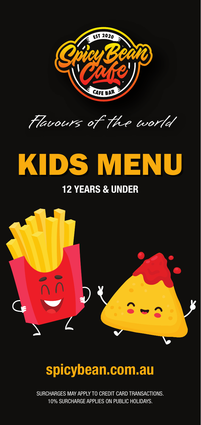



# KIDS MENU

#### 12 YEARS & UNDER



## spicybean.com.au

SURCHARGES MAY APPLY TO CREDIT CARD TRANSACTIONS. 10% SURCHARGE APPLIES ON PUBLIC HOLIDAYS.